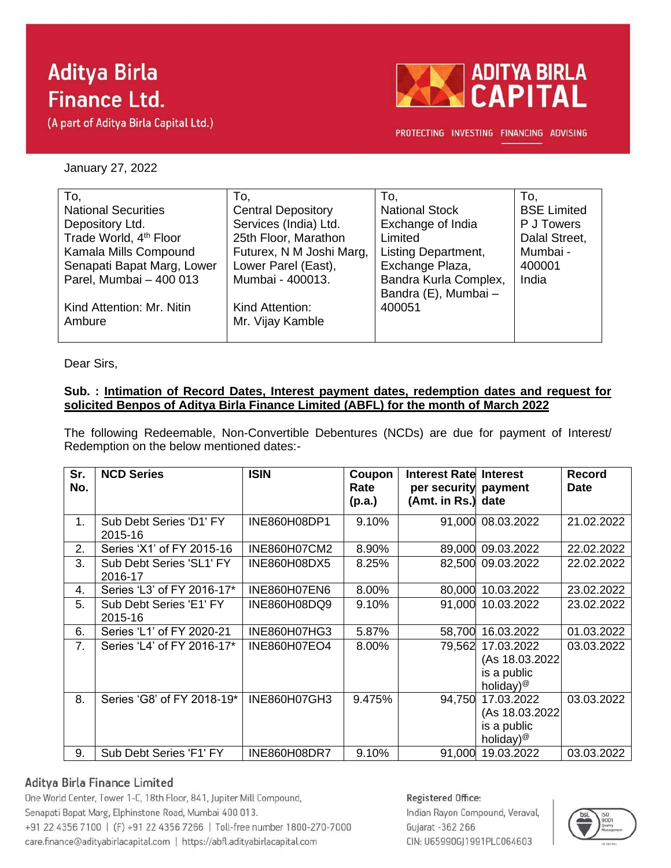# **Aditya Birla Finance Ltd.**

(A part of Aditya Birla Capital Ltd.)



PROTECTING INVESTING FINANCING ADVISING

January 27, 2022

| To,                                | To,                       | To.                        | To.                |
|------------------------------------|---------------------------|----------------------------|--------------------|
|                                    |                           |                            |                    |
| <b>National Securities</b>         | <b>Central Depository</b> | <b>National Stock</b>      | <b>BSE Limited</b> |
| Depository Ltd.                    | Services (India) Ltd.     | Exchange of India          | P J Towers         |
| Trade World, 4 <sup>th</sup> Floor | 25th Floor, Marathon      | Limited                    | Dalal Street,      |
| Kamala Mills Compound              | Futurex, N M Joshi Marg,  | <b>Listing Department,</b> | Mumbai -           |
| Senapati Bapat Marg, Lower         | Lower Parel (East),       | Exchange Plaza,            | 400001             |
| Parel, Mumbai - 400 013            | Mumbai - 400013.          | Bandra Kurla Complex,      | India              |
|                                    |                           | Bandra (E), Mumbai -       |                    |
| Kind Attention: Mr. Nitin          | Kind Attention:           | 400051                     |                    |
| Ambure                             | Mr. Vijay Kamble          |                            |                    |
|                                    |                           |                            |                    |

Dear Sirs,

#### **Sub. : Intimation of Record Dates, Interest payment dates, redemption dates and request for solicited Benpos of Aditya Birla Finance Limited (ABFL) for the month of March 2022**

The following Redeemable, Non-Convertible Debentures (NCDs) are due for payment of Interest/ Redemption on the below mentioned dates:-

| Sr.<br>No. | <b>NCD Series</b>                   | <b>ISIN</b>         | Coupon<br>Rate<br>(p.a.) | <b>Interest Rate Interest</b><br>per security payment<br>(Amt. in Rs.) date |                                                                       | Record<br><b>Date</b> |
|------------|-------------------------------------|---------------------|--------------------------|-----------------------------------------------------------------------------|-----------------------------------------------------------------------|-----------------------|
| 1.         | Sub Debt Series 'D1' FY<br>2015-16  | INE860H08DP1        | 9.10%                    |                                                                             | 91,000 08.03.2022                                                     | 21.02.2022            |
| 2.         | Series 'X1' of FY 2015-16           | INE860H07CM2        | 8.90%                    |                                                                             | 89,000 09.03.2022                                                     | 22.02.2022            |
| 3.         | Sub Debt Series 'SL1' FY<br>2016-17 | INE860H08DX5        | 8.25%                    |                                                                             | 82,500 09.03.2022                                                     | 22.02.2022            |
| 4.         | Series 'L3' of FY 2016-17*          | <b>INE860H07EN6</b> | 8.00%                    | 80,000                                                                      | 10.03.2022                                                            | 23.02.2022            |
| 5.         | Sub Debt Series 'E1' FY<br>2015-16  | INE860H08DQ9        | 9.10%                    |                                                                             | 91,000 10.03.2022                                                     | 23.02.2022            |
| 6.         | Series 'L1' of FY 2020-21           | INE860H07HG3        | 5.87%                    | 58,700                                                                      | 16.03.2022                                                            | 01.03.2022            |
| 7.         | Series 'L4' of FY 2016-17*          | <b>INE860H07EO4</b> | 8.00%                    | 79,562                                                                      | 17.03.2022<br>(As 18.03.2022)<br>is a public<br>holiday) <sup>@</sup> | 03.03.2022            |
| 8.         | Series 'G8' of FY 2018-19*          | INE860H07GH3        | 9.475%                   | 94,750                                                                      | 17.03.2022<br>(As 18.03.2022)<br>is a public<br>holiday) <sup>@</sup> | 03.03.2022            |
| 9.         | Sub Debt Series 'F1' FY             | <b>INE860H08DR7</b> | 9.10%                    | 91,000                                                                      | 19.03.2022                                                            | 03.03.2022            |

### Aditya Birla Finance Limited

One World Center, Tower 1-C, 18th Floor, 841, Jupiter Mill Compound, Senapati Bapat Marg, Elphinstone Road, Mumbai 400 013. +91 22 4356 7100 | (F) +91 22 4356 7266 | Toll-free number 1800-270-7000 care.finance@adityabirlacapital.com | https://abfl.adityabirlacapital.com

#### Registered Office:

Indian Rayon Compound, Veraval, Gujarat - 362 266 CIN: U65990GJ1991PLC064603